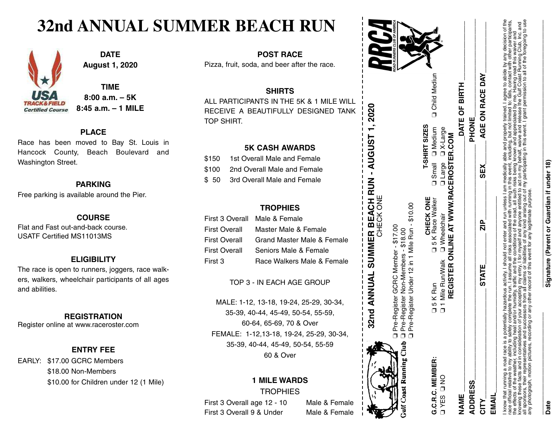## **32nd ANNUAL SUMMER BEACH RUN**



**DATE August 1, 2020**

**TIME 8:00 a.m. – 5K 8:45 a.m. – 1 MILE**

#### **PLACE**

Race has been moved to Bay St. Louis in Hancock County, Beach Boulevard and Washington Street.

#### **PARKING**

Free parking is available around the Pier.

#### **COURSE**

Flat and Fast out-and-back course. USATF Certified MS11013MS

#### **ELIGIBILITY**

The race is open to runners, joggers, race walkers, walkers, wheelchair participants of all ages and abilities.

#### **REGISTRATION**

Register online at www.raceroster.com

#### **ENTRY FEE**

EARLY: \$17.00 GCRC Members \$18.00 Non-Members \$10.00 for Children under 12 (1 Mile)

**POST RACE** Pizza, fruit, soda, and beer after the race.

#### **SHIRTS**

ALL PARTICIPANTS IN THE 5K & 1 MILE WILL RECEIVE A BEAUTIFULLY DESIGNED TANK TOP SHIRT.

#### **5K CASH AWARDS**

| \$150 | 1st Overall Male and Female       |
|-------|-----------------------------------|
|       | \$100 2nd Overall Male and Female |
|       | \$ 50 3rd Overall Male and Female |

#### **TROPHIES**

|                      | First 3 Overall Male & Female |
|----------------------|-------------------------------|
| <b>First Overall</b> | Master Male & Female          |
| <b>First Overall</b> | Grand Master Male & Female    |
| <b>First Overall</b> | Seniors Male & Female         |
| First 3              | Race Walkers Male & Female    |

TOP 3 - IN EACH AGE GROUP

MALE: 1-12, 13-18, 19-24, 25-29, 30-34, 35-39, 40-44, 45-49, 50-54, 55-59, 60-64, 65-69, 70 & Over FEMALE: 1-12,13-18, 19-24, 25-29, 30-34, 35-39, 40-44, 45-49, 50-54, 55-59 60 & Over

#### **1 MILE WARDS TROPHIES**

First 3 Overall age 12 - 10 Male & Female First 3 Overall 9 & Under Male & Female

**32 n d AN N U A L SUΣ Σ ERBEACHR⊃ N - A U G U S T 1, 2**

❏❏

Pre-l<br>Pre-l  $\overline{\mathfrak{E}}$ 

Pre-Register G

-Register (<br>-Register I

 $\circ$ R C Pre-Register Non-Members - \$18.00

Non-Me

Member - \$17.00

Member embers

Ş  $\frac{8.00}{ }$  $$17$ .

 $\circ$ H $_{\Xi}$ KT  $\mathsf{m}$ 

**020**



| AGE ON RACE DAY<br>DATE OF BIRTH<br>PHONE<br>Dismall Division<br>□ Large □ X-Large<br>REGISTER ONLINE AT WWW.RACEROSTER.COM<br>SEX<br>CHECK ONE<br>L 5 K Race Walker<br>□ 1 Mile Run/Walk □ Wheelchair<br>$\frac{P}{N}$<br><b>STATE</b><br><b>Q5KRun</b><br>G.C.R.C. MEMBER:<br>OND SERA<br><b>ADDRESS</b><br><b>JAME</b><br>CITY |       | D Pre-Register Under 12 in 1 Mile Run - \$10.00 |                      |                       |
|-----------------------------------------------------------------------------------------------------------------------------------------------------------------------------------------------------------------------------------------------------------------------------------------------------------------------------------|-------|-------------------------------------------------|----------------------|-----------------------|
|                                                                                                                                                                                                                                                                                                                                   |       |                                                 | <b>T-SHIRT SIZES</b> | <b>Q</b> Child Mediun |
|                                                                                                                                                                                                                                                                                                                                   |       |                                                 |                      |                       |
|                                                                                                                                                                                                                                                                                                                                   |       |                                                 |                      |                       |
|                                                                                                                                                                                                                                                                                                                                   |       |                                                 |                      |                       |
|                                                                                                                                                                                                                                                                                                                                   |       |                                                 |                      |                       |
|                                                                                                                                                                                                                                                                                                                                   | EMAII |                                                 |                      |                       |

 know that running a road race is a potentially hazardous activity. I should not enter and run unless I am medically able and properly trained. I agree to abide by any decision of the race official relative to my ability to safely complete the run. I assume all risks associated with running in this event, including, but not limited to: falls, contact with other participants, the effects of the weather, including heat and/or humidity, traffic and the conditions of the road, all such risks being known and appreciated by me. Having read this waiver and knowing these facts and in consideration of your accepting my entry, I for myself and anyone entitled to act on my behalf, waive and release the Gulf Coast Running Club, Inc. and all sponsors, their representatives and successors from all claims or liabilities of any kind arising out of my participating in this event. I grant permission to all of the foregoing to use any photograph, motion pictures, recording or any other record of this event for any legitimate purpose.

# **Signature (Parent or Guardian if und Signature (Parent or Guardian if under 18)**

**Date**